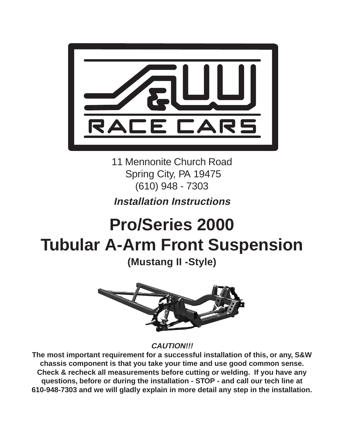

11 Mennonite Church Road Spring City, PA 19475 (610) 948 - 7303

# **Installation Instructions**

# **Pro/Series 2000 Tubular A-Arm Front Suspension**

**(Mustang II -Style)**



**CAUTION!!!**

**The most important requirement for a successful installation of this, or any, S&W chassis component is that you take your time and use good common sense. Check & recheck all measurements before cutting or welding. If you have any questions, before or during the installation - STOP - and call our tech line at 610-948-7303 and we will gladly explain in more detail any step in the installation.**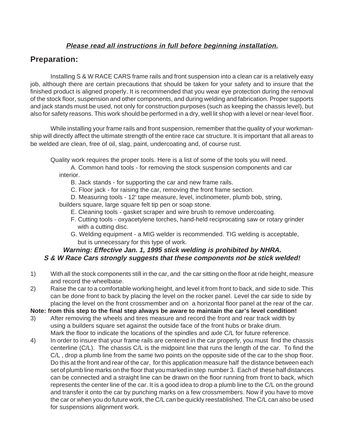#### **Please read all instructions in full before beginning installation.**

## **Preparation:**

Installing S & W RACE CARS frame rails and front suspension into a clean car is a relatively easy job, although there are certain precautions that should be taken for your safety and to insure that the finished product is aligned properly. It is recommended that you wear eye protection during the removal of the stock floor, suspension and other components, and during welding and fabrication. Proper supports and jack stands must be used, not only for construction purposes (such as keeping the chassis level), but also for safety reasons. This work should be performed in a dry, well lit shop with a level or near-level floor.

While installing your frame rails and front suspension, remember that the quality of your workmanship will directly affect the ultimate strength of the entire race car structure. It is important that all areas to be welded are clean, free of oil, slag, paint, undercoating and, of course rust.

Quality work requires the proper tools. Here is a list of some of the tools you will need.

A. Common hand tools - for removing the stock suspension components and car interior.

B. Jack stands - for supporting the car and new frame rails.

C. Floor jack - for raising the car, removing the front frame section.

D. Measuring tools - 12' tape measure, level, inclinometer, plumb bob, string,

builders square, large square felt tip pen or soap stone.

- E. Cleaning tools gasket scraper and wire brush to remove undercoating.
- F. Cutting tools oxyacetylene torches, hand-held reciprocating saw or rotary grinder with a cutting disc.
- G. Welding equipment a MIG welder is recommended. TIG welding is acceptable, but is unnecessary for this type of work.

#### **Warning: Effective Jan. 1, 1995 stick welding is prohibited by NHRA. S & W Race Cars strongly suggests that these components not be stick welded!**

1) With all the stock components still in the car, and the car sitting on the floor at ride height, measure and record the wheelbase.

2) Raise the car to a comfortable working height, and level it from front to back, and side to side. This can be done front to back by placing the level on the rocker panel. Level the car side to side by placing the level on the front crossmember and on a horizontal floor panel at the rear of the car.

**Note: from this step to the final step always be aware to maintain the car's level condition!**

- 3) After removing the wheels and tires measure and record the front and rear track width by using a builders square set against the outside face of the front hubs or brake drum. Mark the floor to indicate the locations of the spindles and axle C/L for future reference.
- 4) In order to insure that your frame rails are centered in the car properly, you must find the chassis centerline (C/L). The chassis C/L is the midpoint line that runs the length of the car. To find the C/L, drop a plumb line from the same two points on the opposite side of the car to the shop floor. Do this at the front and rear of the car, for this application measure half the distance between each set of plumb line marks on the floor that you marked in step number 3. Each of these half distances can be connected and a straight line can be drawn on the floor running from front to back, which represents the center line of the car. It is a good idea to drop a plumb line to the C/L on the ground and transfer it onto the car by punching marks on a few crossmembers. Now if you have to move the car or when you do future work, the C/L can be quickly reestablished. The C/L can also be used for suspensions alignment work.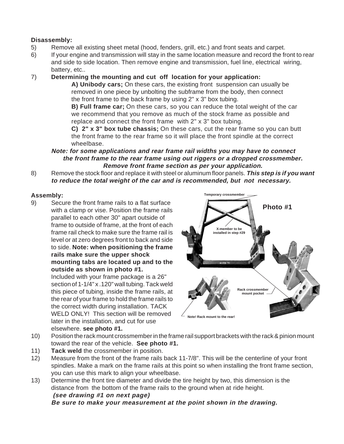#### **Disassembly:**

- 5) Remove all existing sheet metal (hood, fenders, grill, etc.) and front seats and carpet.
- 6) If your engine and transmission will stay in the same location measure and record the front to rear and side to side location. Then remove engine and transmission, fuel line, electrical wiring, battery, etc..

#### 7) **Determining the mounting and cut off location for your application:**

**A) Unibody cars;** On these cars, the existing front suspension can usually be removed in one piece by unbolting the subframe from the body, then connect the front frame to the back frame by using 2" x 3" box tubing.

**B) Full frame car;** On these cars, so you can reduce the total weight of the car we recommend that you remove as much of the stock frame as possible and replace and connect the front frame with 2" x 3" box tubing.

**C) 2" x 3" box tube chassis;** On these cars, cut the rear frame so you can butt the front frame to the rear frame so it will place the front spindle at the correct wheelbase.

**Note: for some applications and rear frame rail widths you may have to connect the front frame to the rear frame using out riggers or a dropped crossmember. Remove front frame section as per your application.**

8) Remove the stock floor and replace it with steel or aluminum floor panels. **This step is if you want to reduce the total weight of the car and is recommended, but not necessary.**

#### **Assembly:**

9) Secure the front frame rails to a flat surface with a clamp or vise. Position the frame rails parallel to each other 30" apart outside of frame to outside of frame, at the front of each frame rail check to make sure the frame rail is level or at zero degrees front to back and side to side. **Note: when positioning the frame rails make sure the upper shock mounting tabs are located up and to the outside as shown in photo #1.**

Included with your frame package is a 26" section of 1-1/4" x .120" wall tubing. Tack weld this piece of tubing, inside the frame rails, at the rear of your frame to hold the frame rails to the correct width during installation. TACK WELD ONLY! This section will be removed later in the installation, and cut for use elsewhere. **see photo #1.**



- 10) Position the rack mount crossmember in the frame rail support brackets with the rack & pinion mount toward the rear of the vehicle. **See photo #1.**
- 11) **Tack weld** the crossmember in position.
- 12) Measure from the front of the frame rails back 11-7/8". This will be the centerline of your front spindles. Make a mark on the frame rails at this point so when installing the front frame section, you can use this mark to align your wheelbase.
- 13) Determine the front tire diameter and divide the tire height by two, this dimension is the distance from the bottom of the frame rails to the ground when at ride height. **(see drawing #1 on next page)**

**Be sure to make your measurement at the point shown in the drawing.**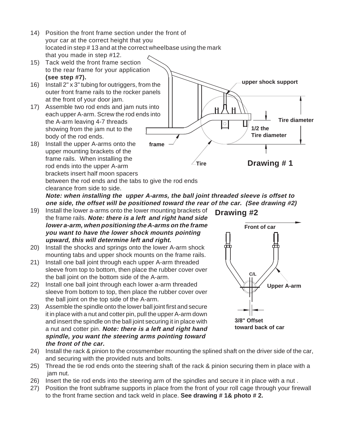- 14) Position the front frame section under the front of your car at the correct height that you located in step # 13 and at the correct wheelbase using the mark that you made in step #12.
- 15) Tack weld the front frame section to the rear frame for your application **(see step #7).**
- 16) Install 2" x 3" tubing for outriggers, from the outer front frame rails to the rocker panels at the front of your door jam.
- 17) Assemble two rod ends and jam nuts into each upper A-arm. Screw the rod ends into the A-arm leaving 4-7 threads showing from the jam nut to the body of the rod ends.
- 18) Install the upper A-arms onto the upper mounting brackets of the frame rails. When installing the rod ends into the upper A-arm brackets insert half moon spacers between the rod ends and the tabs to give the rod ends



clearance from side to side. **Note: when installing the upper A-arms, the ball joint threaded sleeve is offset to one side, the offset will be positioned toward the rear of the car. (See drawing #2)**

- 19) Install the lower a-arms onto the lower mounting brackets of the frame rails. **Note: there is a left and right hand side lower a-arm, when positioning the A-arms on the frame you want to have the lower shock mounts pointing upward, this will determine left and right.**
- 20) Install the shocks and springs onto the lower A-arm shock mounting tabs and upper shock mounts on the frame rails.
- 21) Install one ball joint through each upper A-arm threaded sleeve from top to bottom, then place the rubber cover over the ball joint on the bottom side of the A-arm.
- 22) Install one ball joint through each lower a-arm threaded sleeve from bottom to top, then place the rubber cover over the ball joint on the top side of the A-arm.
- 23) Assemble the spindle onto the lower ball joint first and secure it in place with a nut and cotter pin, pull the upper A-arm down and insert the spindle on the ball joint securing it in place with a nut and cotter pin. **Note: there is a left and right hand spindle, you want the steering arms pointing toward the front of the car.**

**Drawing #2**



- 24) Install the rack & pinion to the crossmember mounting the splined shaft on the driver side of the car, and securing with the provided nuts and bolts.
- 25) Thread the tie rod ends onto the steering shaft of the rack & pinion securing them in place with a jam nut.
- 26) Insert the tie rod ends into the steering arm of the spindles and secure it in place with a nut .
- 27) Position the front subframe supports in place from the front of your roll cage through your firewall to the front frame section and tack weld in place. **See drawing # 1& photo # 2.**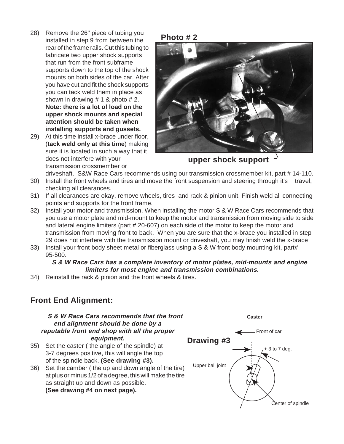- 28) Remove the 26" piece of tubing you installed in step 9 from between the rear of the frame rails. Cut this tubing to fabricate two upper shock supports that run from the front subframe supports down to the top of the shock mounts on both sides of the car. After you have cut and fit the shock supports you can tack weld them in place as shown in drawing  $# 1$  & photo  $# 2$ . **Note: there is a lot of load on the upper shock mounts and special attention should be taken when installing supports and gussets.**
- 29) At this time install x-brace under floor, (**tack weld only at this time**) making sure it is located in such a way that it does not interfere with your transmission crossmember or



**upper shock support**

driveshaft. S&W Race Cars recommends using our transmission crossmember kit, part # 14-110.

- 30) Install the front wheels and tires and move the front suspension and steering through it's travel, checking all clearances.
- 31) If all clearances are okay, remove wheels, tires and rack & pinion unit. Finish weld all connecting points and supports for the front frame.
- 32) Install your motor and transmission. When installing the motor S & W Race Cars recommends that you use a motor plate and mid-mount to keep the motor and transmission from moving side to side and lateral engine limiters (part # 20-607) on each side of the motor to keep the motor and transmission from moving front to back. When you are sure that the x-brace you installed in step 29 does not interfere with the transmission mount or driveshaft, you may finish weld the x-brace
- 33) Install your front body sheet metal or fiberglass using a S & W front body mounting kit, part# 95-500.

#### **S & W Race Cars has a complete inventory of motor plates, mid-mounts and engine limiters for most engine and transmission combinations.**

34) Reinstall the rack & pinion and the front wheels & tires.

### **Front End Alignment:**

#### **S & W Race Cars recommends that the front end alignment should be done by a reputable front end shop with all the proper equipment.**

- 35) Set the caster ( the angle of the spindle) at 3-7 degrees positive, this will angle the top of the spindle back. **(See drawing #3).**
- 36) Set the camber ( the up and down angle of the tire) at plus or minus 1/2 of a degree, this will make the tire as straight up and down as possible. **(See drawing #4 on next page).**



**Caster**